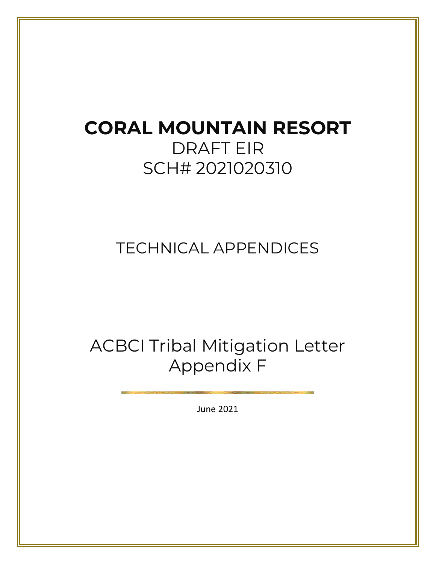# **CORAL MOUNTAIN RESORT**  DRAFT EIR SCH# 2021020310

### TECHNICAL APPENDICES

# ACBCI Tribal Mitigation Letter Appendix F

June 2021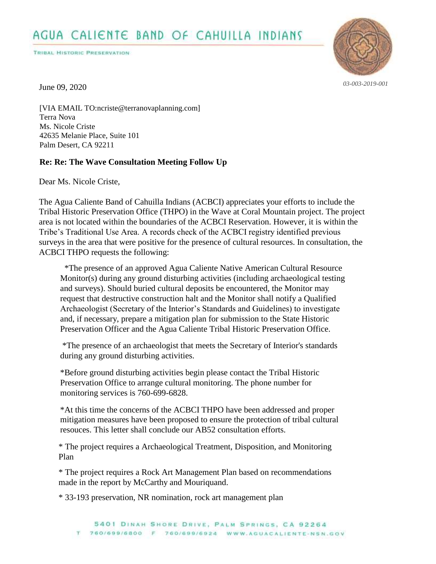**TRIBAL HISTORIC PRESERVATION** 



*03-003-2019-001*

June 09, 2020

[VIA EMAIL TO:ncriste@terranovaplanning.com] Terra Nova Ms. Nicole Criste 42635 Melanie Place, Suite 101 Palm Desert, CA 92211

#### **Re: Re: The Wave Consultation Meeting Follow Up**

Dear Ms. Nicole Criste,

The Agua Caliente Band of Cahuilla Indians (ACBCI) appreciates your efforts to include the Tribal Historic Preservation Office (THPO) in the Wave at Coral Mountain project. The project area is not located within the boundaries of the ACBCI Reservation. However, it is within the Tribe's Traditional Use Area. A records check of the ACBCI registry identified previous surveys in the area that were positive for the presence of cultural resources. In consultation, the ACBCI THPO requests the following:

 \*The presence of an approved Agua Caliente Native American Cultural Resource Monitor(s) during any ground disturbing activities (including archaeological testing and surveys). Should buried cultural deposits be encountered, the Monitor may request that destructive construction halt and the Monitor shall notify a Qualified Archaeologist (Secretary of the Interior's Standards and Guidelines) to investigate and, if necessary, prepare a mitigation plan for submission to the State Historic Preservation Officer and the Agua Caliente Tribal Historic Preservation Office.

 \*The presence of an archaeologist that meets the Secretary of Interior's standards during any ground disturbing activities.

\*Before ground disturbing activities begin please contact the Tribal Historic Preservation Office to arrange cultural monitoring. The phone number for monitoring services is 760-699-6828.

\*At this time the concerns of the ACBCI THPO have been addressed and proper mitigation measures have been proposed to ensure the protection of tribal cultural resouces. This letter shall conclude our AB52 consultation efforts.

# \* The project requires a Archaeological Treatment, Disposition, and Monitoring Plan

# \* The project requires a Rock Art Management Plan based on recommendations made in the report by McCarthy and Mouriquand.

# \* 33-193 preservation, NR nomination, rock art management plan